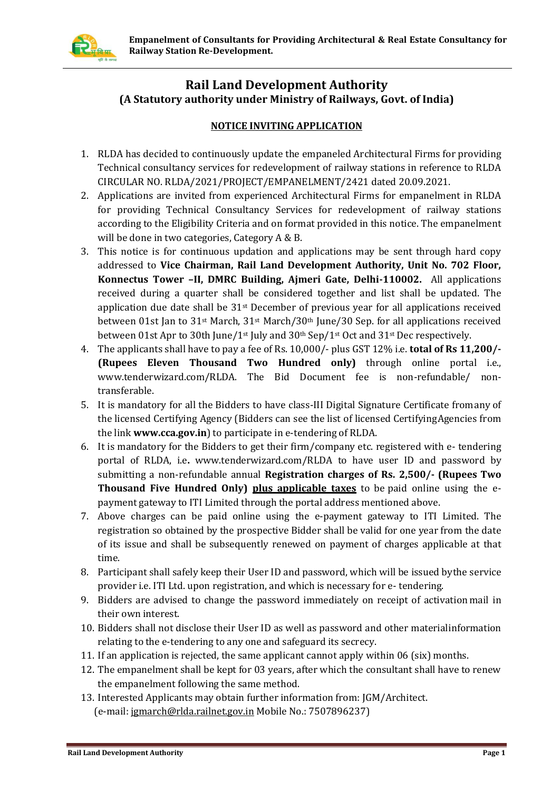

# **Rail Land Development Authority (A Statutory authority under Ministry of Railways, Govt. of India)**

### **NOTICE INVITING APPLICATION**

- 1. RLDA has decided to continuously update the empaneled Architectural Firms for providing Technical consultancy services for redevelopment of railway stations in reference to RLDA CIRCULAR NO. RLDA/2021/PROJECT/EMPANELMENT/2421 dated 20.09.2021.
- 2. Applications are invited from experienced Architectural Firms for empanelment in RLDA for providing Technical Consultancy Services for redevelopment of railway stations according to the Eligibility Criteria and on format provided in this notice. The empanelment will be done in two categories, Category A & B.
- 3. This notice is for continuous updation and applications may be sent through hard copy addressed to **Vice Chairman, Rail Land Development Authority, Unit No. 702 Floor, Konnectus Tower –II, DMRC Building, Ajmeri Gate, Delhi-110002.** All applications received during a quarter shall be considered together and list shall be updated. The application due date shall be  $31<sup>st</sup>$  December of previous year for all applications received between 01st Jan to 31<sup>st</sup> March, 31<sup>st</sup> March/30<sup>th</sup> June/30 Sep. for all applications received between 01st Apr to 30th June/1st July and 30th Sep/1st Oct and 31st Dec respectively.
- 4. The applicants shall have to pay a fee of Rs. 10,000/- plus GST 12% i.e. **total of Rs 11,200/- (Rupees Eleven Thousand Two Hundred only)** through online portal i.e., [www.tenderwizard.com/RLDA.](http://www.tenderwizard.com/RLDA) The Bid Document fee is non-refundable/ nontransferable.
- 5. It is mandatory for all the Bidders to have class-III Digital Signature Certificate fromany of the licensed Certifying Agency (Bidders can see the list of licensed CertifyingAgencies from the link **[www.cca.gov.in](http://www.cca.gov.in/)**) to participate in e-tendering of RLDA.
- 6. It is mandatory for the Bidders to get their firm/company etc. registered with e- tendering portal of RLDA, i.e**.** [www.tenderwizard.com/RLDA t](http://www.tenderwizard.com/RLDA)o have user ID and password by submitting a non-refundable annual **Registration charges of Rs. 2,500/- (Rupees Two Thousand Five Hundred Only) plus applicable taxes** to be paid online using the epayment gateway to ITI Limited through the portal address mentioned above.
- 7. Above charges can be paid online using the e-payment gateway to ITI Limited. The registration so obtained by the prospective Bidder shall be valid for one year from the date of its issue and shall be subsequently renewed on payment of charges applicable at that time.
- 8. Participant shall safely keep their User ID and password, which will be issued bythe service provider i.e. ITI Ltd. upon registration, and which is necessary for e- tendering.
- 9. Bidders are advised to change the password immediately on receipt of activation mail in their own interest.
- 10. Bidders shall not disclose their User ID as well as password and other materialinformation relating to the e-tendering to any one and safeguard its secrecy.
- 11. If an application is rejected, the same applicant cannot apply within 06 (six) months.
- 12. The empanelment shall be kept for 03 years, after which the consultant shall have to renew the empanelment following the same method.
- 13. Interested Applicants may obtain further information from: JGM/Architect. (e-mail[: jgmarch@rlda.railnet.gov.in](mailto:jgmarch@rlda.railnet.gov.in) Mobile No.: 7507896237)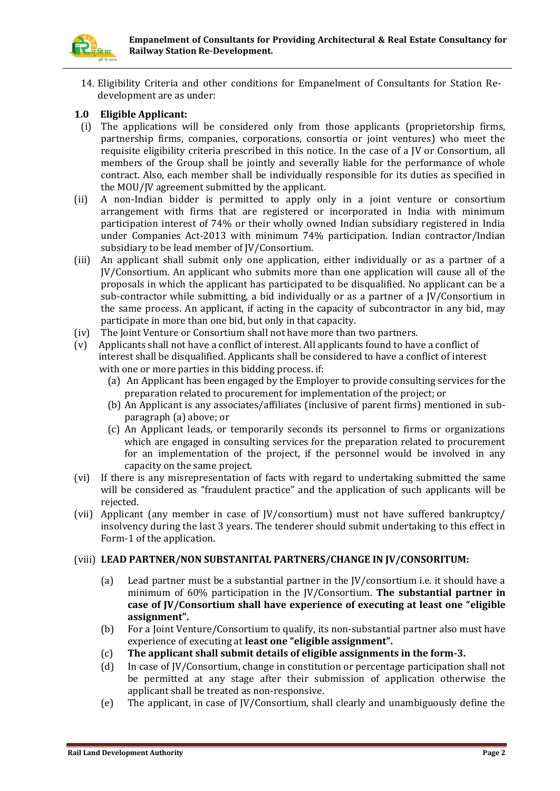14. Eligibility Criteria and other conditions for Empanelment of Consultants for Station Redevelopment are as under:

### **1.0 Eligible Applicant:**

- (i) The applications will be considered only from those applicants (proprietorship firms, partnership firms, companies, corporations, consortia or joint ventures) who meet the requisite eligibility criteria prescribed in this notice. In the case of a JV or Consortium, all members of the Group shall be jointly and severally liable for the performance of whole contract. Also, each member shall be individually responsible for its duties as specified in the MOU/JV agreement submitted by the applicant.
- (ii) A non-Indian bidder is permitted to apply only in a joint venture or consortium arrangement with firms that are registered or incorporated in India with minimum participation interest of 74% or their wholly owned Indian subsidiary registered in India under Companies Act-2013 with minimum 74% participation. Indian contractor/Indian subsidiary to be lead member of JV/Consortium.
- (iii) An applicant shall submit only one application, either individually or as a partner of a JV/Consortium. An applicant who submits more than one application will cause all of the proposals in which the applicant has participated to be disqualified. No applicant can be a sub-contractor while submitting, a bid individually or as a partner of a JV/Consortium in the same process. An applicant, if acting in the capacity of subcontractor in any bid, may participate in more than one bid, but only in that capacity.
- (iv) The Joint Venture or Consortium shall not have more than two partners.
- (v) Applicants shall not have a conflict of interest. All applicants found to have a conflict of interest shall be disqualified. Applicants shall be considered to have a conflict of interest with one or more parties in this bidding process. if:
	- (a) An Applicant has been engaged by the Employer to provide consulting services for the preparation related to procurement for implementation of the project; or
	- (b) An Applicant is any associates/affiliates (inclusive of parent firms) mentioned in subparagraph (a) above; or
	- (c) An Applicant leads, or temporarily seconds its personnel to firms or organizations which are engaged in consulting services for the preparation related to procurement for an implementation of the project, if the personnel would be involved in any capacity on the same project.
- (vi) If there is any misrepresentation of facts with regard to undertaking submitted the same will be considered as "fraudulent practice" and the application of such applicants will be rejected.
- (vii) Applicant (any member in case of JV/consortium) must not have suffered bankruptcy/ insolvency during the last 3 years. The tenderer should submit undertaking to this effect in Form-1 of the application.

#### (viii) **LEAD PARTNER/NON SUBSTANITAL PARTNERS/CHANGE IN JV/CONSORITUM:**

- (a) Lead partner must be a substantial partner in the JV/consortium i.e. it should have a minimum of 60% participation in the JV/Consortium. **The substantial partner in case of JV/Consortium shall have experience of executing at least one "eligible assignment".**
- (b) For a Joint Venture/Consortium to qualify, its non-substantial partner also must have experience of executing at **least one "eligible assignment".**
- (c) **The applicant shall submit details of eligible assignments in the form-3.**
- (d) In case of JV/Consortium, change in constitution or percentage participation shall not be permitted at any stage after their submission of application otherwise the applicant shall be treated as non-responsive.
- (e) The applicant, in case of JV/Consortium, shall clearly and unambiguously define the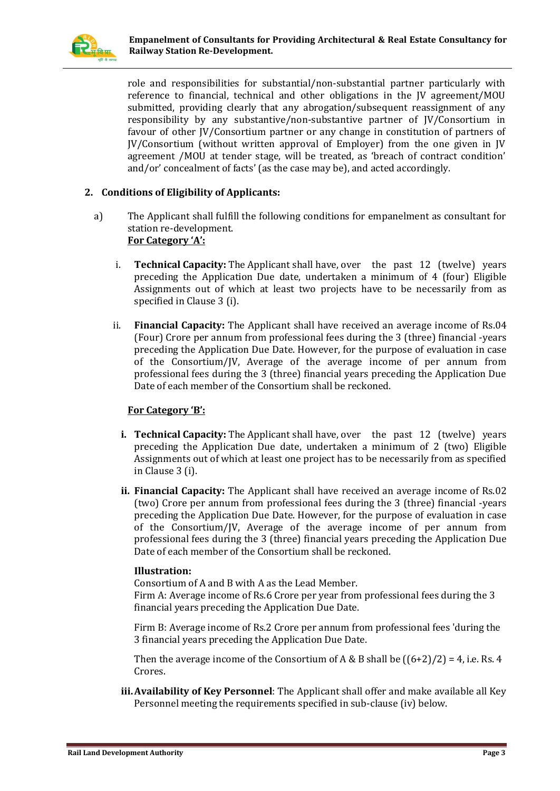

role and responsibilities for substantial/non-substantial partner particularly with reference to financial, technical and other obligations in the JV agreement/MOU submitted, providing clearly that any abrogation/subsequent reassignment of any responsibility by any substantive/non-substantive partner of JV/Consortium in favour of other JV/Consortium partner or any change in constitution of partners of JV/Consortium (without written approval of Employer) from the one given in JV agreement /MOU at tender stage, will be treated, as 'breach of contract condition' and/or' concealment of facts' (as the case may be), and acted accordingly.

### **2. Conditions of Eligibility of Applicants:**

- a) The Applicant shall fulfill the following conditions for empanelment as consultant for station re-development. **For Category 'A':**
	- i. **Technical Capacity:** The Applicant shall have, over the past 12 (twelve) years preceding the Application Due date, undertaken a minimum of 4 (four) Eligible Assignments out of which at least two projects have to be necessarily from as specified in Clause 3 (i).
	- ii. **Financial Capacity:** The Applicant shall have received an average income of Rs.04 (Four) Crore per annum from professional fees during the 3 (three) financial -years preceding the Application Due Date. However, for the purpose of evaluation in case of the Consortium/JV, Average of the average income of per annum from professional fees during the 3 (three) financial years preceding the Application Due Date of each member of the Consortium shall be reckoned.

### **For Category 'B':**

- **i. Technical Capacity:** The Applicant shall have, over the past 12 (twelve) years preceding the Application Due date, undertaken a minimum of 2 (two) Eligible Assignments out of which at least one project has to be necessarily from as specified in Clause 3 (i).
- **ii. Financial Capacity:** The Applicant shall have received an average income of Rs.02 (two) Crore per annum from professional fees during the 3 (three) financial -years preceding the Application Due Date. However, for the purpose of evaluation in case of the Consortium/JV, Average of the average income of per annum from professional fees during the 3 (three) financial years preceding the Application Due Date of each member of the Consortium shall be reckoned.

#### **Illustration:**

Consortium of A and B with A as the Lead Member. Firm A: Average income of Rs.6 Crore per year from professional fees during the 3 financial years preceding the Application Due Date.

Firm B: Average income of Rs.2 Crore per annum from professional fees 'during the 3 financial years preceding the Application Due Date.

Then the average income of the Consortium of A & B shall be  $((6+2)/2) = 4$ , i.e. Rs. 4 Crores.

**iii.Availability of Key Personnel**: The Applicant shall offer and make available all Key Personnel meeting the requirements specified in sub-clause (iv) below.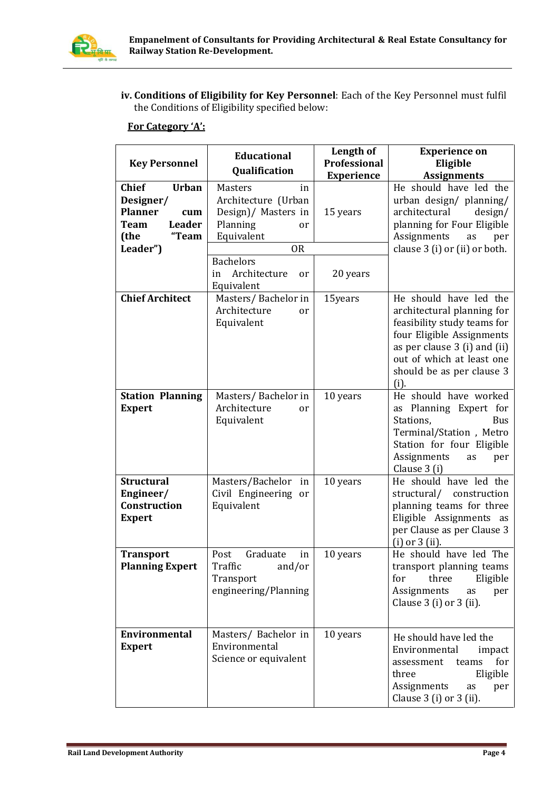

**iv. Conditions of Eligibility for Key Personnel**: Each of the Key Personnel must fulfil the Conditions of Eligibility specified below:

## **For Category 'A':**

| <b>Key Personnel</b>                                                                                                            | <b>Educational</b><br>Qualification                                                                           | Length of<br>Professional<br><b>Experience</b> | <b>Experience on</b><br>Eligible<br><b>Assignments</b>                                                                                                                                                             |  |  |
|---------------------------------------------------------------------------------------------------------------------------------|---------------------------------------------------------------------------------------------------------------|------------------------------------------------|--------------------------------------------------------------------------------------------------------------------------------------------------------------------------------------------------------------------|--|--|
| <b>Chief</b><br><b>Urban</b><br>Designer/<br><b>Planner</b><br>cum<br><b>Leader</b><br><b>Team</b><br>"Team<br>(the<br>Leader") | Masters<br>in<br>Architecture (Urban<br>Design)/ Masters in<br>Planning<br>or<br>Equivalent<br>0 <sub>R</sub> | 15 years                                       | He should have led the<br>urban design/ planning/<br>architectural<br>design/<br>planning for Four Eligible<br>Assignments<br>per<br>as<br>clause 3 (i) or (ii) or both.                                           |  |  |
|                                                                                                                                 | <b>Bachelors</b><br>Architecture<br>in<br>or<br>Equivalent                                                    | 20 years                                       |                                                                                                                                                                                                                    |  |  |
| <b>Chief Architect</b>                                                                                                          | Masters/Bachelor in<br>Architecture<br>or<br>Equivalent                                                       | 15years                                        | He should have led the<br>architectural planning for<br>feasibility study teams for<br>four Eligible Assignments<br>as per clause 3 (i) and (ii)<br>out of which at least one<br>should be as per clause 3<br>(i). |  |  |
| <b>Station Planning</b><br><b>Expert</b>                                                                                        | Masters/Bachelor in<br>Architecture<br>or<br>Equivalent                                                       | 10 years                                       | He should have worked<br>as Planning Expert for<br>Stations,<br>Bus<br>Terminal/Station, Metro<br>Station for four Eligible<br>Assignments<br>as<br>per<br>Clause 3 (i)                                            |  |  |
| <b>Structural</b><br>Engineer/<br>Construction<br><b>Expert</b>                                                                 | Masters/Bachelor in<br>Civil Engineering or<br>Equivalent                                                     | 10 years                                       | He should have led the<br>structural/ construction<br>planning teams for three<br>Eligible Assignments as<br>per Clause as per Clause 3<br>$(i)$ or $3$ $(ii)$ .                                                   |  |  |
| <b>Transport</b><br><b>Planning Expert</b>                                                                                      | Graduate<br>Post<br>in<br>Traffic and/or<br>Transport<br>engineering/Planning                                 | 10 years                                       | He should have led The<br>transport planning teams<br>for<br>three<br>Eligible<br>Assignments<br>per<br>as<br>Clause $3$ (i) or $3$ (ii).                                                                          |  |  |
| Environmental<br><b>Expert</b>                                                                                                  | Masters/ Bachelor in<br>Environmental<br>Science or equivalent                                                | 10 years                                       | He should have led the<br>Environmental<br>impact<br>for<br>assessment<br>teams<br>Eligible<br>three<br>Assignments<br>as<br>per<br>Clause $3$ (i) or $3$ (ii).                                                    |  |  |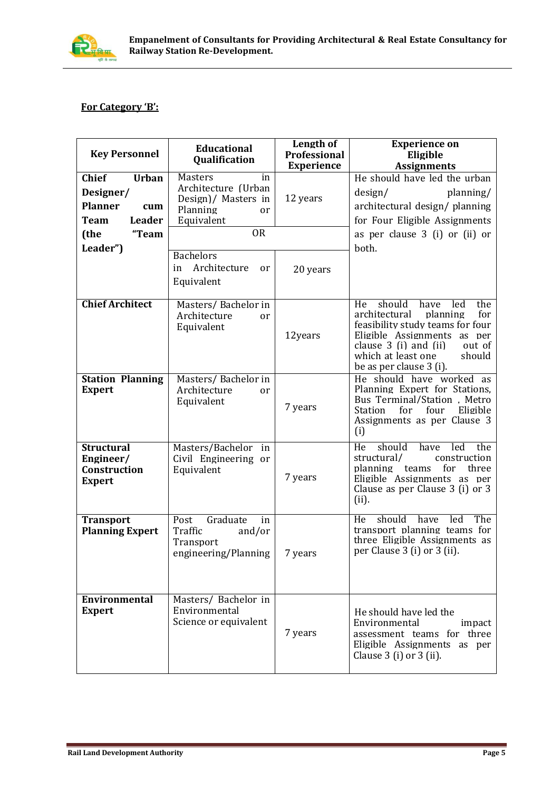

### **For Category 'B':**

| <b>Key Personnel</b>                                                                        | <b>Educational</b><br><b>Qualification</b>                                                         | Length of<br>Professional<br><b>Experience</b> | <b>Experience on</b><br>Eligible<br><b>Assignments</b>                                                                                                                                                                                  |  |  |
|---------------------------------------------------------------------------------------------|----------------------------------------------------------------------------------------------------|------------------------------------------------|-----------------------------------------------------------------------------------------------------------------------------------------------------------------------------------------------------------------------------------------|--|--|
| <b>Chief</b><br><b>Urban</b><br>Designer/<br><b>Planner</b><br>cum<br><b>Team</b><br>Leader | <b>Masters</b><br>in<br>Architecture (Urban<br>Design)/ Masters in<br>Planning<br>or<br>Equivalent | 12 years                                       | He should have led the urban<br>design/<br>planning/<br>architectural design/ planning<br>for Four Eligible Assignments                                                                                                                 |  |  |
| (the<br>"Team                                                                               | <b>OR</b>                                                                                          |                                                | as per clause 3 (i) or (ii) or                                                                                                                                                                                                          |  |  |
| Leader")                                                                                    | <b>Bachelors</b><br>Architecture<br>in<br>or<br>Equivalent                                         | 20 years                                       | both.                                                                                                                                                                                                                                   |  |  |
| <b>Chief Architect</b>                                                                      | Masters/Bachelor in<br>Architecture<br>or<br>Equivalent                                            | 12years                                        | should<br>have<br>He<br>led<br>the<br>architectural<br>planning<br>for<br>feasibility study teams for four<br>Eligible Assignments as per<br>clause 3 (i) and (ii)<br>out of<br>which at least one<br>should<br>be as per clause 3 (i). |  |  |
| <b>Station Planning</b><br><b>Expert</b>                                                    | Masters/Bachelor in<br>Architecture<br>or<br>Equivalent                                            | 7 years                                        | He should have worked as<br>Planning Expert for Stations.<br>Bus Terminal/Station, Metro<br>Station<br>for<br>four<br>Eligible<br>Assignments as per Clause 3<br>(i)                                                                    |  |  |
| <b>Structural</b><br>Engineer/<br>Construction<br><b>Expert</b>                             | Masters/Bachelor in<br>Civil Engineering or<br>Equivalent                                          | 7 years                                        | should<br>have<br>the<br>He<br>led<br>structural/<br>construction<br>planning<br>for<br>three<br>teams<br>Eligible Assignments as per<br>Clause as per Clause 3 (i) or 3<br>(ii).                                                       |  |  |
| <b>Transport</b><br><b>Planning Expert</b>                                                  | Graduate<br>Post<br>in<br>Traffic<br>and/or<br>Transport<br>engineering/Planning                   | 7 years                                        | should have<br>led<br>The<br>He<br>transport planning teams for<br>three Eligible Assignments as<br>per Clause 3 (i) or 3 (ii).                                                                                                         |  |  |
| Environmental<br><b>Expert</b>                                                              | Masters/ Bachelor in<br>Environmental<br>Science or equivalent                                     | 7 years                                        | He should have led the<br>Environmental<br>impact<br>assessment teams for three<br>Eligible Assignments as per<br>Clause $3$ (i) or $3$ (ii).                                                                                           |  |  |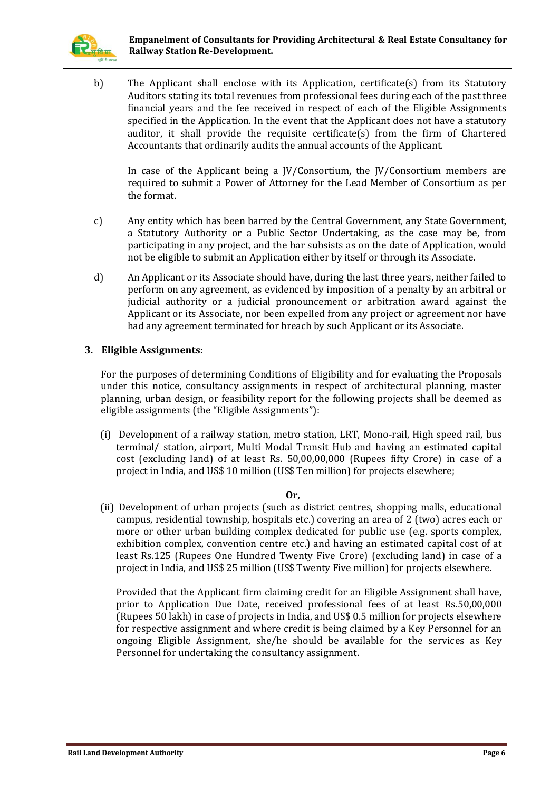

b) The Applicant shall enclose with its Application, certificate(s) from its Statutory Auditors stating its total revenues from professional fees during each of the past three financial years and the fee received in respect of each of the Eligible Assignments specified in the Application. In the event that the Applicant does not have a statutory auditor, it shall provide the requisite certificate(s) from the firm of Chartered Accountants that ordinarily audits the annual accounts of the Applicant.

In case of the Applicant being a JV/Consortium, the JV/Consortium members are required to submit a Power of Attorney for the Lead Member of Consortium as per the format.

- c) Any entity which has been barred by the Central Government, any State Government, a Statutory Authority or a Public Sector Undertaking, as the case may be, from participating in any project, and the bar subsists as on the date of Application, would not be eligible to submit an Application either by itself or through its Associate.
- d) An Applicant or its Associate should have, during the last three years, neither failed to perform on any agreement, as evidenced by imposition of a penalty by an arbitral or judicial authority or a judicial pronouncement or arbitration award against the Applicant or its Associate, nor been expelled from any project or agreement nor have had any agreement terminated for breach by such Applicant or its Associate.

#### **3. Eligible Assignments:**

For the purposes of determining Conditions of Eligibility and for evaluating the Proposals under this notice, consultancy assignments in respect of architectural planning, master planning, urban design, or feasibility report for the following projects shall be deemed as eligible assignments (the "Eligible Assignments"):

(i) Development of a railway station, metro station, LRT, Mono-rail, High speed rail, bus terminal/ station, airport, Multi Modal Transit Hub and having an estimated capital cost (excluding land) of at least Rs. 50,00,00,000 (Rupees fifty Crore) in case of a project in India, and US\$ 10 million (US\$ Ten million) for projects elsewhere;

#### **Or,**

(ii) Development of urban projects (such as district centres, shopping malls, educational campus, residential township, hospitals etc.) covering an area of 2 (two) acres each or more or other urban building complex dedicated for public use (e.g. sports complex, exhibition complex, convention centre etc.) and having an estimated capital cost of at least Rs.125 (Rupees One Hundred Twenty Five Crore) (excluding land) in case of a project in India, and US\$ 25 million (US\$ Twenty Five million) for projects elsewhere.

Provided that the Applicant firm claiming credit for an Eligible Assignment shall have, prior to Application Due Date, received professional fees of at least Rs.50,00,000 (Rupees 50 lakh) in case of projects in India, and US\$ 0.5 million for projects elsewhere for respective assignment and where credit is being claimed by a Key Personnel for an ongoing Eligible Assignment, she/he should be available for the services as Key Personnel for undertaking the consultancy assignment.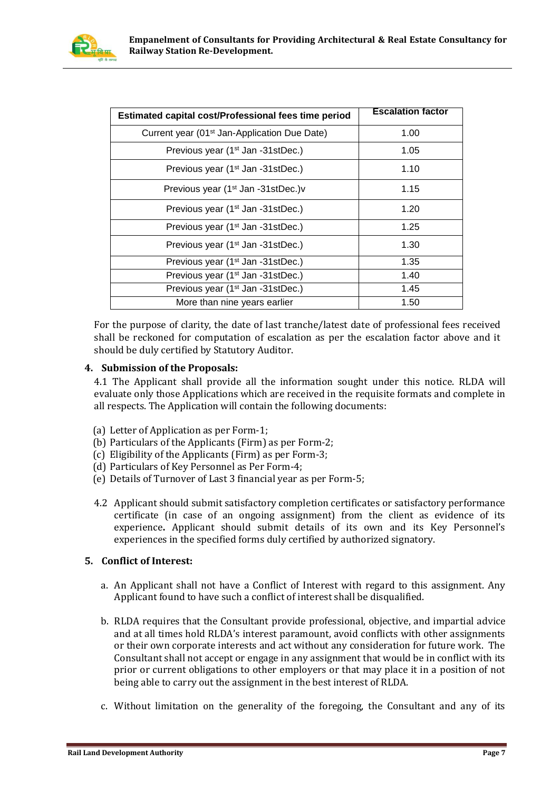

| Estimated capital cost/Professional fees time period     | <b>Escalation factor</b> |
|----------------------------------------------------------|--------------------------|
| Current year (01 <sup>st</sup> Jan-Application Due Date) | 1.00                     |
| Previous year (1 <sup>st</sup> Jan -31stDec.)            | 1.05                     |
| Previous year (1 <sup>st</sup> Jan -31stDec.)            | 1.10                     |
| Previous year (1 <sup>st</sup> Jan -31stDec.) v          | 1.15                     |
| Previous year (1 <sup>st</sup> Jan -31stDec.)            | 1.20                     |
| Previous year (1 <sup>st</sup> Jan -31stDec.)            | 1.25                     |
| Previous year (1 <sup>st</sup> Jan -31stDec.)            | 1.30                     |
| Previous year (1 <sup>st</sup> Jan -31stDec.)            | 1.35                     |
| Previous year (1 <sup>st</sup> Jan -31stDec.)            | 1.40                     |
| Previous year (1 <sup>st</sup> Jan -31stDec.)            | 1.45                     |
| More than nine years earlier                             | 1.50                     |

For the purpose of clarity, the date of last tranche/latest date of professional fees received shall be reckoned for computation of escalation as per the escalation factor above and it should be duly certified by Statutory Auditor.

### **4. Submission of the Proposals:**

4.1 The Applicant shall provide all the information sought under this notice. RLDA will evaluate only those Applications which are received in the requisite formats and complete in all respects. The Application will contain the following documents:

- (a) Letter of Application as per Form-1;
- (b) Particulars of the Applicants (Firm) as per Form-2;
- (c) Eligibility of the Applicants (Firm) as per Form-3;
- (d) Particulars of Key Personnel as Per Form-4;
- (e) Details of Turnover of Last 3 financial year as per Form-5;
- 4.2 Applicant should submit satisfactory completion certificates or satisfactory performance certificate (in case of an ongoing assignment) from the client as evidence of its experience**.** Applicant should submit details of its own and its Key Personnel's experiences in the specified forms duly certified by authorized signatory.

#### **5. Conflict of Interest:**

- a. An Applicant shall not have a Conflict of Interest with regard to this assignment. Any Applicant found to have such a conflict of interest shall be disqualified.
- b. RLDA requires that the Consultant provide professional, objective, and impartial advice and at all times hold RLDA's interest paramount, avoid conflicts with other assignments or their own corporate interests and act without any consideration for future work. The Consultant shall not accept or engage in any assignment that would be in conflict with its prior or current obligations to other employers or that may place it in a position of not being able to carry out the assignment in the best interest of RLDA.
- c. Without limitation on the generality of the foregoing, the Consultant and any of its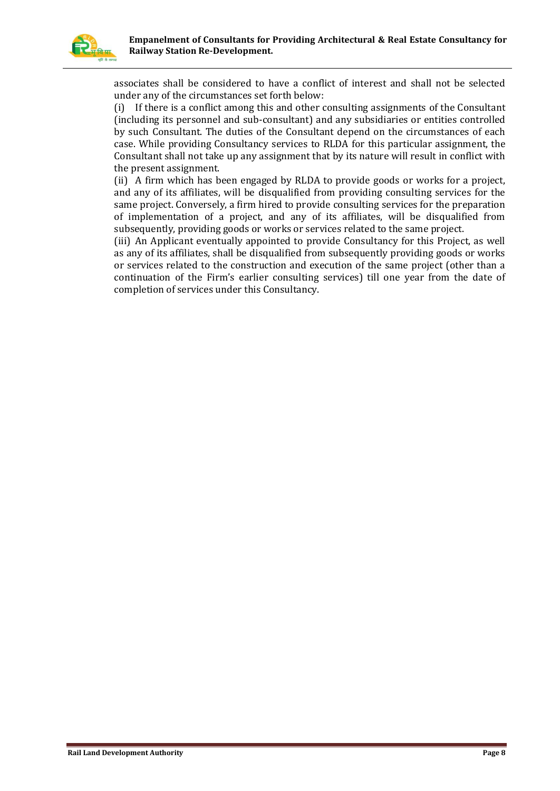

associates shall be considered to have a conflict of interest and shall not be selected under any of the circumstances set forth below:

(i) If there is a conflict among this and other consulting assignments of the Consultant (including its personnel and sub-consultant) and any subsidiaries or entities controlled by such Consultant. The duties of the Consultant depend on the circumstances of each case. While providing Consultancy services to RLDA for this particular assignment, the Consultant shall not take up any assignment that by its nature will result in conflict with the present assignment.

(ii) A firm which has been engaged by RLDA to provide goods or works for a project, and any of its affiliates, will be disqualified from providing consulting services for the same project. Conversely, a firm hired to provide consulting services for the preparation of implementation of a project, and any of its affiliates, will be disqualified from subsequently, providing goods or works or services related to the same project.

(iii) An Applicant eventually appointed to provide Consultancy for this Project, as well as any of its affiliates, shall be disqualified from subsequently providing goods or works or services related to the construction and execution of the same project (other than a continuation of the Firm's earlier consulting services) till one year from the date of completion of services under this Consultancy.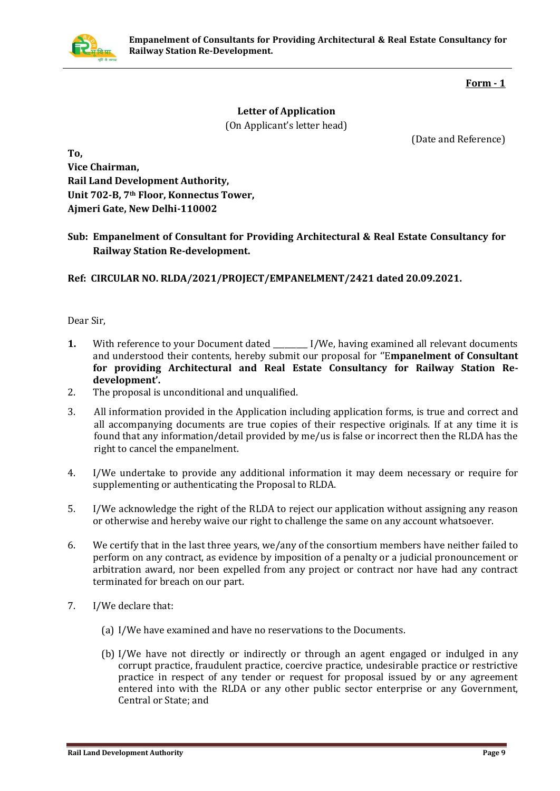

#### **Form - 1**

# **Letter of Application**  (On Applicant's letter head)

(Date and Reference)

**To, Vice Chairman, Rail Land Development Authority, Unit 702-B, 7th Floor, Konnectus Tower, Ajmeri Gate, New Delhi-110002**

**Sub: Empanelment of Consultant for Providing Architectural & Real Estate Consultancy for Railway Station Re-development.**

**Ref: CIRCULAR NO. RLDA/2021/PROJECT/EMPANELMENT/2421 dated 20.09.2021.**

Dear Sir,

- **1.** With reference to your Document dated \_\_\_\_\_\_\_\_ I/We, having examined all relevant documents and understood their contents, hereby submit our proposal for ''E**mpanelment of Consultant for providing Architectural and Real Estate Consultancy for Railway Station Redevelopment'.**
- 2. The proposal is unconditional and unqualified.
- 3. All information provided in the Application including application forms, is true and correct and all accompanying documents are true copies of their respective originals. If at any time it is found that any information/detail provided by me/us is false or incorrect then the RLDA has the right to cancel the empanelment.
- 4. I/We undertake to provide any additional information it may deem necessary or require for supplementing or authenticating the Proposal to RLDA.
- 5. I/We acknowledge the right of the RLDA to reject our application without assigning any reason or otherwise and hereby waive our right to challenge the same on any account whatsoever.
- 6. We certify that in the last three years, we/any of the consortium members have neither failed to perform on any contract, as evidence by imposition of a penalty or a judicial pronouncement or arbitration award, nor been expelled from any project or contract nor have had any contract terminated for breach on our part.
- 7. I/We declare that:
	- (a) I/We have examined and have no reservations to the Documents.
	- (b) I/We have not directly or indirectly or through an agent engaged or indulged in any corrupt practice, fraudulent practice, coercive practice, undesirable practice or restrictive practice in respect of any tender or request for proposal issued by or any agreement entered into with the RLDA or any other public sector enterprise or any Government, Central or State; and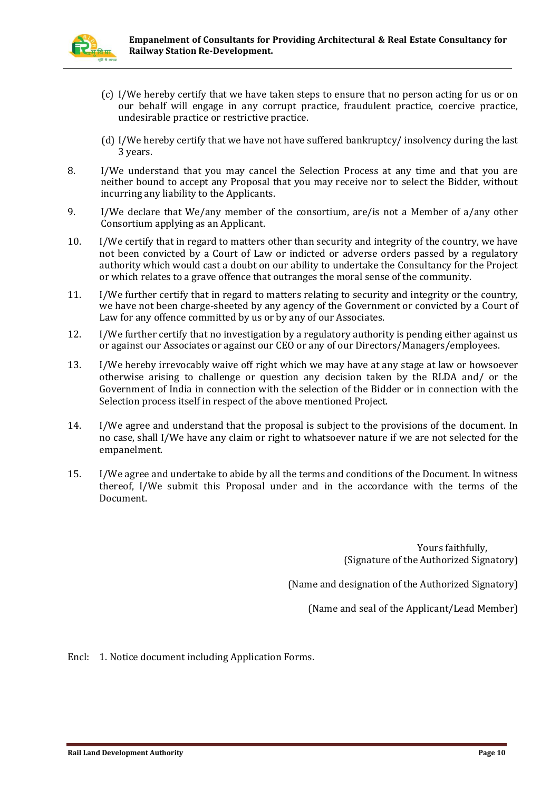

- (c) I/We hereby certify that we have taken steps to ensure that no person acting for us or on our behalf will engage in any corrupt practice, fraudulent practice, coercive practice, undesirable practice or restrictive practice.
- (d) I/We hereby certify that we have not have suffered bankruptcy/ insolvency during the last 3 years.
- 8. I/We understand that you may cancel the Selection Process at any time and that you are neither bound to accept any Proposal that you may receive nor to select the Bidder, without incurring any liability to the Applicants.
- 9. I/We declare that We/any member of the consortium, are/is not a Member of a/any other Consortium applying as an Applicant.
- 10. I/We certify that in regard to matters other than security and integrity of the country, we have not been convicted by a Court of Law or indicted or adverse orders passed by a regulatory authority which would cast a doubt on our ability to undertake the Consultancy for the Project or which relates to a grave offence that outranges the moral sense of the community.
- 11. I/We further certify that in regard to matters relating to security and integrity or the country, we have not been charge-sheeted by any agency of the Government or convicted by a Court of Law for any offence committed by us or by any of our Associates.
- 12. I/We further certify that no investigation by a regulatory authority is pending either against us or against our Associates or against our CEO or any of our Directors/Managers/employees.
- 13. I/We hereby irrevocably waive off right which we may have at any stage at law or howsoever otherwise arising to challenge or question any decision taken by the RLDA and/ or the Government of India in connection with the selection of the Bidder or in connection with the Selection process itself in respect of the above mentioned Project.
- 14. I/We agree and understand that the proposal is subject to the provisions of the document. In no case, shall I/We have any claim or right to whatsoever nature if we are not selected for the empanelment.
- 15. I/We agree and undertake to abide by all the terms and conditions of the Document. In witness thereof, I/We submit this Proposal under and in the accordance with the terms of the Document.

Yours faithfully, (Signature of the Authorized Signatory)

(Name and designation of the Authorized Signatory)

(Name and seal of the Applicant/Lead Member)

Encl: 1. Notice document including Application Forms.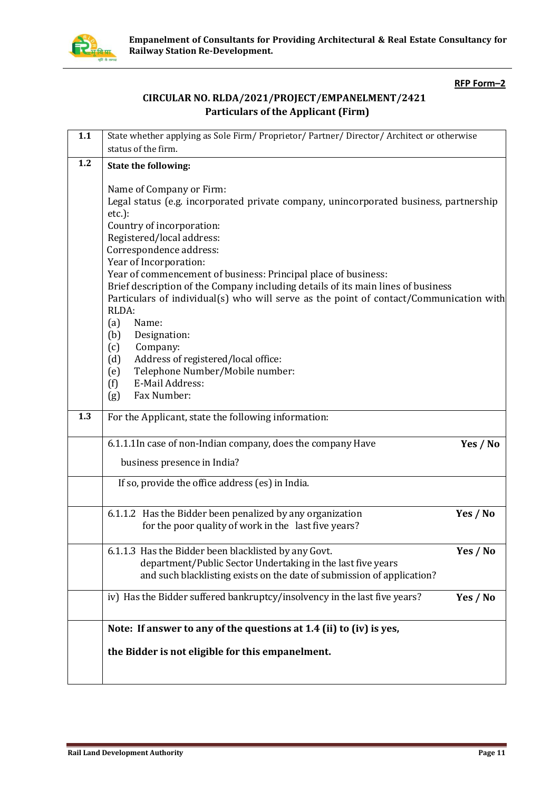

**Empanelment of Consultants for Providing Architectural & Real Estate Consultancy for Railway Station Re-Development.**

#### **RFP Form–2**

## **CIRCULAR NO. RLDA/2021/PROJECT/EMPANELMENT/2421 Particulars of the Applicant (Firm)**

| 1.1 | State whether applying as Sole Firm/Proprietor/Partner/Director/Architect or otherwise                                                                                                                                                                                                                                                                                                                                                                                                                                                                                                                                                                                                                   |
|-----|----------------------------------------------------------------------------------------------------------------------------------------------------------------------------------------------------------------------------------------------------------------------------------------------------------------------------------------------------------------------------------------------------------------------------------------------------------------------------------------------------------------------------------------------------------------------------------------------------------------------------------------------------------------------------------------------------------|
|     | status of the firm.                                                                                                                                                                                                                                                                                                                                                                                                                                                                                                                                                                                                                                                                                      |
| 1.2 | State the following:                                                                                                                                                                                                                                                                                                                                                                                                                                                                                                                                                                                                                                                                                     |
|     | Name of Company or Firm:<br>Legal status (e.g. incorporated private company, unincorporated business, partnership<br>$etc.$ ):<br>Country of incorporation:<br>Registered/local address:<br>Correspondence address:<br>Year of Incorporation:<br>Year of commencement of business: Principal place of business:<br>Brief description of the Company including details of its main lines of business<br>Particulars of individual(s) who will serve as the point of contact/Communication with<br>RLDA:<br>Name:<br>(a)<br>Designation:<br>(b)<br>Company:<br>(c)<br>Address of registered/local office:<br>(d)<br>Telephone Number/Mobile number:<br>(e)<br>E-Mail Address:<br>(f)<br>Fax Number:<br>(g) |
| 1.3 | For the Applicant, state the following information:                                                                                                                                                                                                                                                                                                                                                                                                                                                                                                                                                                                                                                                      |
|     | 6.1.1.1 In case of non-Indian company, does the company Have<br>Yes / No                                                                                                                                                                                                                                                                                                                                                                                                                                                                                                                                                                                                                                 |
|     | business presence in India?                                                                                                                                                                                                                                                                                                                                                                                                                                                                                                                                                                                                                                                                              |
|     | If so, provide the office address (es) in India.                                                                                                                                                                                                                                                                                                                                                                                                                                                                                                                                                                                                                                                         |
|     | 6.1.1.2 Has the Bidder been penalized by any organization<br>Yes / No<br>for the poor quality of work in the last five years?                                                                                                                                                                                                                                                                                                                                                                                                                                                                                                                                                                            |
|     | 6.1.1.3 Has the Bidder been blacklisted by any Govt.<br>Yes / No<br>department/Public Sector Undertaking in the last five years<br>and such blacklisting exists on the date of submission of application?                                                                                                                                                                                                                                                                                                                                                                                                                                                                                                |
|     | iv) Has the Bidder suffered bankruptcy/insolvency in the last five years?<br>Yes / No                                                                                                                                                                                                                                                                                                                                                                                                                                                                                                                                                                                                                    |
|     | Note: If answer to any of the questions at 1.4 (ii) to (iv) is yes,                                                                                                                                                                                                                                                                                                                                                                                                                                                                                                                                                                                                                                      |
|     | the Bidder is not eligible for this empanelment.                                                                                                                                                                                                                                                                                                                                                                                                                                                                                                                                                                                                                                                         |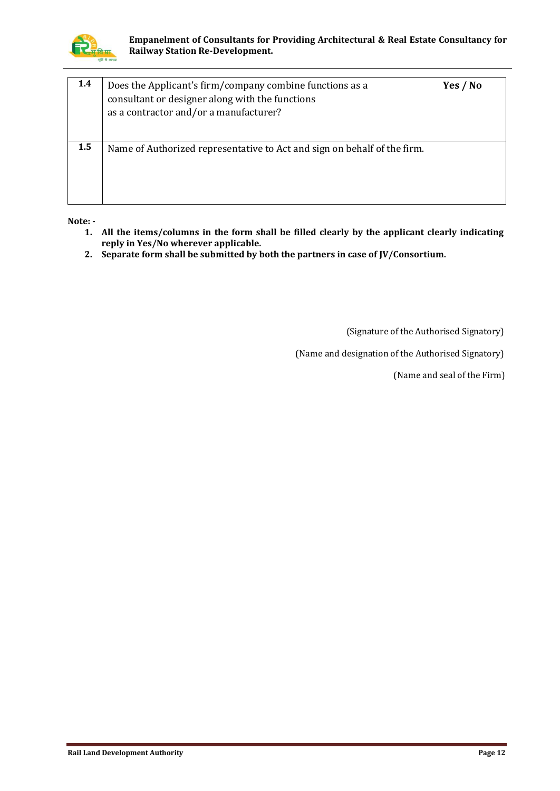

| 1.4 | Does the Applicant's firm/company combine functions as a<br>consultant or designer along with the functions<br>as a contractor and/or a manufacturer? | Yes / No |
|-----|-------------------------------------------------------------------------------------------------------------------------------------------------------|----------|
| 1.5 | Name of Authorized representative to Act and sign on behalf of the firm.                                                                              |          |

**Note: -**

- **1. All the items/columns in the form shall be filled clearly by the applicant clearly indicating reply in Yes/No wherever applicable.**
- **2. Separate form shall be submitted by both the partners in case of JV/Consortium.**

(Signature of the Authorised Signatory)

(Name and designation of the Authorised Signatory)

(Name and seal of the Firm)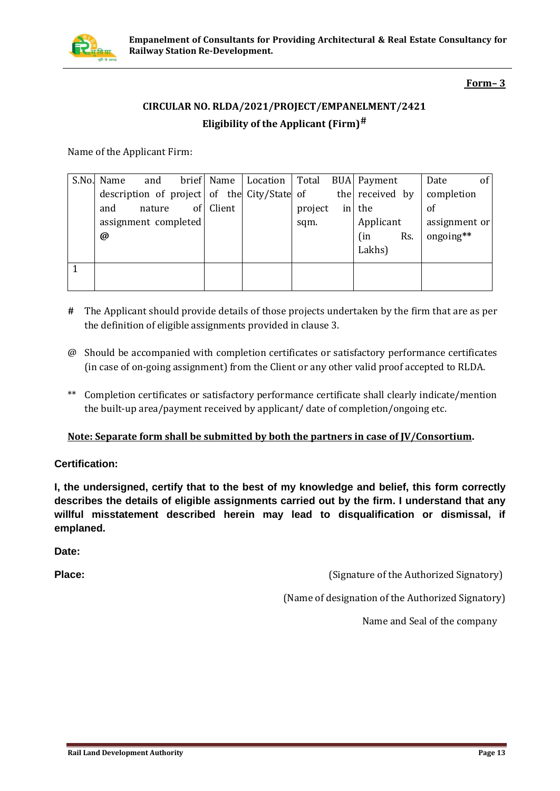

### **Form– 3**

# **CIRCULAR NO. RLDA/2021/PROJECT/EMPANELMENT/2421 Eligibility of the Applicant (Firm)#**

Name of the Applicant Firm:

| S.No. Name           | and    |                 |        | brief Name   Location   Total               |         | <b>BUA</b> Payment |     | Date          | of |
|----------------------|--------|-----------------|--------|---------------------------------------------|---------|--------------------|-----|---------------|----|
|                      |        |                 |        | description of project of the City/State of |         | the received by    |     | completion    |    |
| and                  | nature | of <sub>l</sub> | Client |                                             | project | in the             |     | of            |    |
| assignment completed |        |                 |        |                                             | sqm.    | Applicant          |     | assignment or |    |
| @                    |        |                 |        |                                             |         | (in                | Rs. | ongoing**     |    |
|                      |        |                 |        |                                             |         | Lakhs)             |     |               |    |
|                      |        |                 |        |                                             |         |                    |     |               |    |
|                      |        |                 |        |                                             |         |                    |     |               |    |

- **#** The Applicant should provide details of those projects undertaken by the firm that are as per the definition of eligible assignments provided in clause 3.
- @ Should be accompanied with completion certificates or satisfactory performance certificates (in case of on-going assignment) from the Client or any other valid proof accepted to RLDA.
- \*\* Completion certificates or satisfactory performance certificate shall clearly indicate/mention the built-up area/payment received by applicant/ date of completion/ongoing etc.

#### **Note: Separate form shall be submitted by both the partners in case of JV/Consortium.**

**Certification:**

**I, the undersigned, certify that to the best of my knowledge and belief, this form correctly describes the details of eligible assignments carried out by the firm. I understand that any willful misstatement described herein may lead to disqualification or dismissal, if emplaned.**

**Date:** 

**Place: Constant Constant Constant Constant Constant Constant Constant Constant Constant Constant Constant Constant Constant Constant Constant Constant Constant Constant Constant Constant Constant Constant Constant Const** 

(Name of designation of the Authorized Signatory)

Name and Seal of the company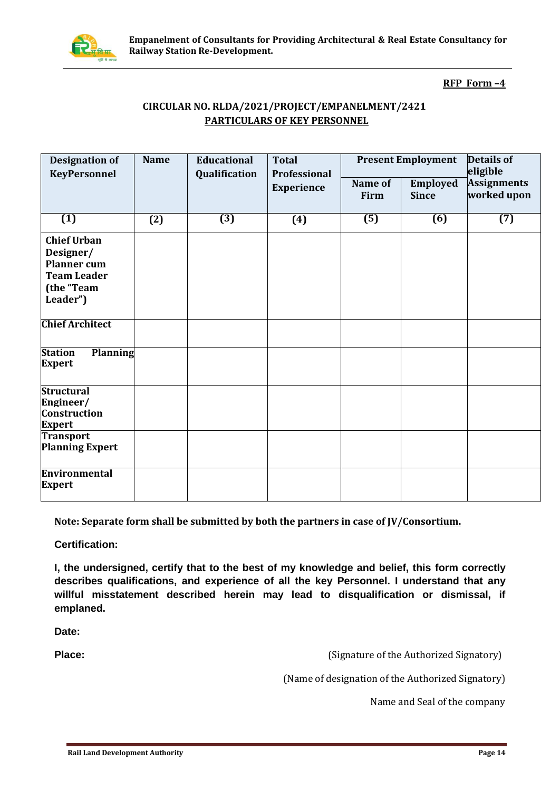

#### **RFP Form –4**

### **CIRCULAR NO. RLDA/2021/PROJECT/EMPANELMENT/2421 PARTICULARS OF KEY PERSONNEL**

| <b>Designation of</b><br><b>KeyPersonnel</b>                                                          | <b>Name</b> | <b>Educational</b><br>Qualification | <b>Total</b><br>Professional | <b>Present Employment</b> |                                 | <b>Details of</b><br>eligible     |  |
|-------------------------------------------------------------------------------------------------------|-------------|-------------------------------------|------------------------------|---------------------------|---------------------------------|-----------------------------------|--|
|                                                                                                       |             |                                     | Experience                   | Name of<br>Firm           | <b>Employed</b><br><b>Since</b> | <b>Assignments</b><br>worked upon |  |
| $\overline{(1)}$                                                                                      | (2)         | $\overline{(3)}$                    | (4)                          | $\overline{(5)}$          | $\overline{(6)}$                | $\overline{(7)}$                  |  |
| <b>Chief Urban</b><br>Designer/<br><b>Planner</b> cum<br><b>Team Leader</b><br>(the "Team<br>Leader") |             |                                     |                              |                           |                                 |                                   |  |
| <b>Chief Architect</b>                                                                                |             |                                     |                              |                           |                                 |                                   |  |
| <b>Planning</b><br><b>Station</b><br><b>Expert</b>                                                    |             |                                     |                              |                           |                                 |                                   |  |
| <b>Structural</b><br>Engineer/<br><b>Construction</b><br><b>Expert</b>                                |             |                                     |                              |                           |                                 |                                   |  |
| <b>Transport</b><br><b>Planning Expert</b>                                                            |             |                                     |                              |                           |                                 |                                   |  |
| Environmental<br><b>Expert</b>                                                                        |             |                                     |                              |                           |                                 |                                   |  |

#### **Note: Separate form shall be submitted by both the partners in case of JV/Consortium.**

**Certification:**

**I, the undersigned, certify that to the best of my knowledge and belief, this form correctly describes qualifications, and experience of all the key Personnel. I understand that any willful misstatement described herein may lead to disqualification or dismissal, if emplaned.**

**Date:** 

**Place: Constant Constant Constant Constant Constant Constant Constant Constant Constant Constant Constant Constant Constant Constant Constant Constant Constant Constant Constant Constant Constant Constant Constant Const** 

(Name of designation of the Authorized Signatory)

Name and Seal of the company